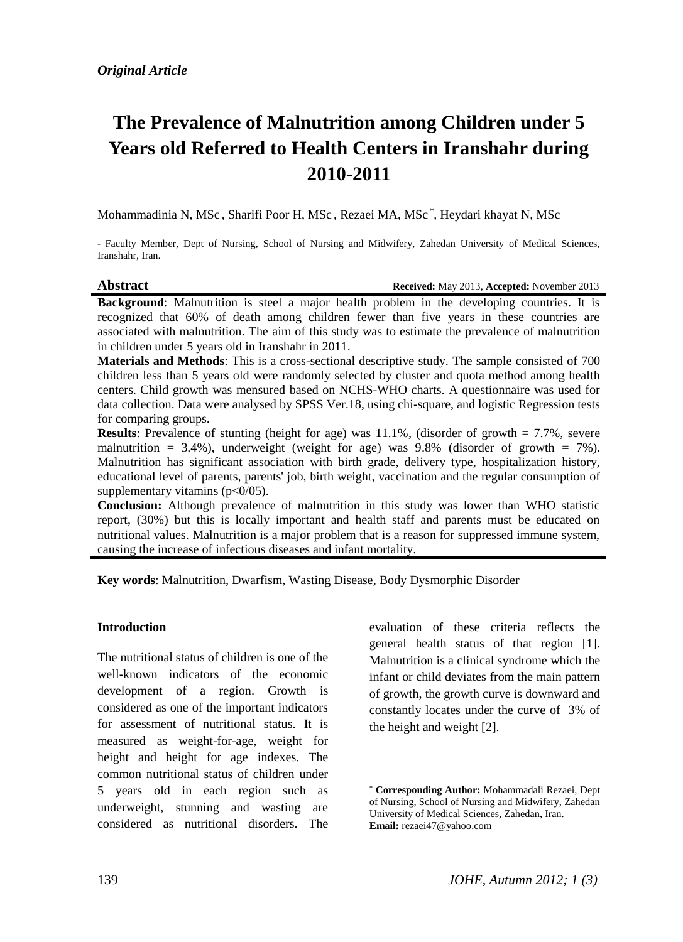# **The Prevalence of Malnutrition among Children under 5 Years old Referred to Health Centers in Iranshahr during 2010-2011**

Mohammadinia N, MSc , Sharifi Poor H, MSc , Rezaei MA, MSc \* , Heydari khayat N, MSc

- Faculty Member, Dept of Nursing, School of Nursing and Midwifery, Zahedan University of Medical Sciences, Iranshahr, Iran.

# **Abstract Received:** May 2013, **Accepted:** November 2013

**Background:** Malnutrition is steel a major health problem in the developing countries. It is recognized that 60% of death among children fewer than five years in these countries are associated with malnutrition. The aim of this study was to estimate the prevalence of malnutrition in children under 5 years old in Iranshahr in 2011.

**Materials and Methods**: This is a cross-sectional descriptive study. The sample consisted of 700 children less than 5 years old were randomly selected by cluster and quota method among health centers. Child growth was mensured based on NCHS-WHO charts. A questionnaire was used for data collection. Data were analysed by SPSS Ver.18, using chi-square, and logistic Regression tests for comparing groups.

**Results**: Prevalence of stunting (height for age) was  $11.1\%$ , (disorder of growth  $= 7.7\%$ , severe malnutrition = 3.4%), underweight (weight for age) was  $9.8\%$  (disorder of growth = 7%). Malnutrition has significant association with birth grade, delivery type, hospitalization history, educational level of parents, parents' job, birth weight, vaccination and the regular consumption of supplementary vitamins  $(p<0/05)$ .

**Conclusion:** Although prevalence of malnutrition in this study was lower than WHO statistic report, (30%) but this is locally important and health staff and parents must be educated on nutritional values. Malnutrition is a major problem that is a reason for suppressed immune system, causing the increase of infectious diseases and infant mortality.

1

**Key words**: Malnutrition, Dwarfism, Wasting Disease, Body Dysmorphic Disorder

#### **Introduction**

The nutritional status of children is one of the well-known indicators of the economic development of a region. Growth is considered as one of the important indicators for assessment of nutritional status. It is measured as weight-for-age, weight for height and height for age indexes. The common nutritional status of children under 5 years old in each region such as underweight, stunning and wasting are considered as nutritional disorders. The evaluation of these criteria reflects the general health status of that region [1]. Malnutrition is a clinical syndrome which the infant or child deviates from the main pattern of growth, the growth curve is downward and constantly locates under the curve of\* 3% of the height and weight [2].

<sup>\*</sup> **Corresponding Author:** Mohammadali Rezaei, Dept of Nursing, School of Nursing and Midwifery, Zahedan University of Medical Sciences, Zahedan, Iran. **Email:** [rezaei47@yahoo.com](mailto:rezaei47@yahoo.com)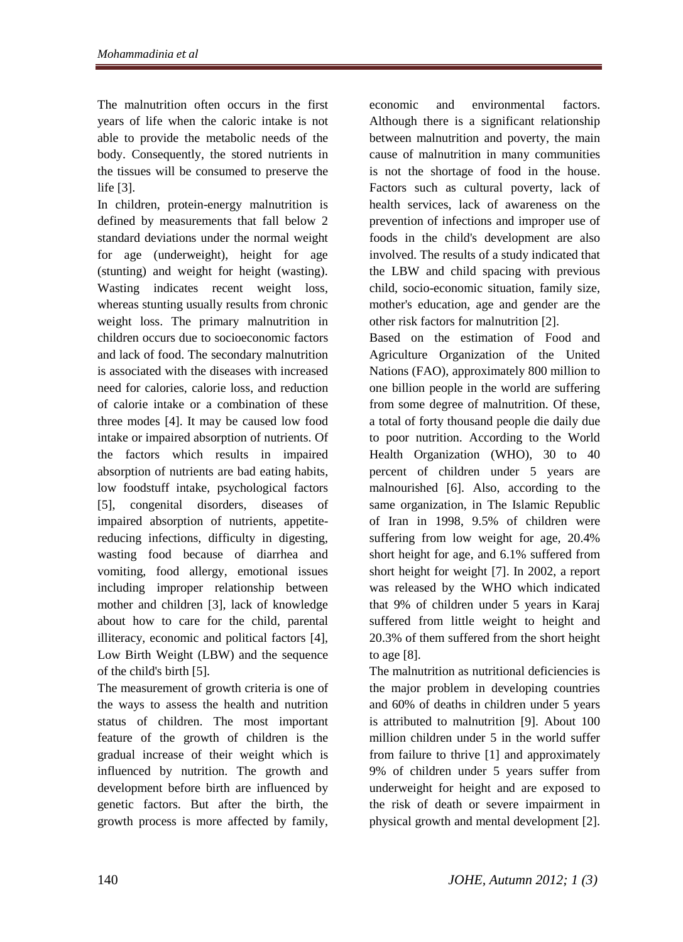The malnutrition often occurs in the first years of life when the caloric intake is not able to provide the metabolic needs of the body. Consequently, the stored nutrients in the tissues will be consumed to preserve the life [3].

In children, protein-energy malnutrition is defined by measurements that fall below 2 standard deviations under the normal weight for age (underweight), height for age (stunting) and weight for height (wasting). Wasting indicates recent weight loss, whereas stunting usually results from chronic weight loss. The primary malnutrition in children occurs due to socioeconomic factors and lack of food. The secondary malnutrition is associated with the diseases with increased need for calories, calorie loss, and reduction of calorie intake or a combination of these three modes [4]. It may be caused low food intake or impaired absorption of nutrients. Of the factors which results in impaired absorption of nutrients are bad eating habits, low foodstuff intake, psychological factors [5], congenital disorders, diseases of impaired absorption of nutrients, appetitereducing infections, difficulty in digesting, wasting food because of diarrhea and vomiting, food allergy, emotional issues including improper relationship between mother and children [3], lack of knowledge about how to care for the child, parental illiteracy, economic and political factors [4], Low Birth Weight (LBW) and the sequence of the child's birth [5].

The measurement of growth criteria is one of the ways to assess the health and nutrition status of children. The most important feature of the growth of children is the gradual increase of their weight which is influenced by nutrition. The growth and development before birth are influenced by genetic factors. But after the birth, the growth process is more affected by family, economic and environmental factors. Although there is a significant relationship between malnutrition and poverty, the main cause of malnutrition in many communities is not the shortage of food in the house. Factors such as cultural poverty, lack of health services, lack of awareness on the prevention of infections and improper use of foods in the child's development are also involved. The results of a study indicated that the LBW and child spacing with previous child, socio-economic situation, family size, mother's education, age and gender are the other risk factors for malnutrition [2].

Based on the estimation of Food and Agriculture Organization of the United Nations (FAO), approximately 800 million to one billion people in the world are suffering from some degree of malnutrition. Of these, a total of forty thousand people die daily due to poor nutrition. According to the World Health Organization (WHO), 30 to 40 percent of children under 5 years are malnourished [6]. Also, according to the same organization, in The Islamic Republic of Iran in 1998, 9.5% of children were suffering from low weight for age, 20.4% short height for age, and 6.1% suffered from short height for weight [7]. In 2002, a report was released by the WHO which indicated that 9% of children under 5 years in Karaj suffered from little weight to height and 20.3% of them suffered from the short height to age [8].

The malnutrition as nutritional deficiencies is the major problem in developing countries and 60% of deaths in children under 5 years is attributed to malnutrition [9]. About 100 million children under 5 in the world suffer from failure to thrive [1] and approximately 9% of children under 5 years suffer from underweight for height and are exposed to the risk of death or severe impairment in physical growth and mental development [2].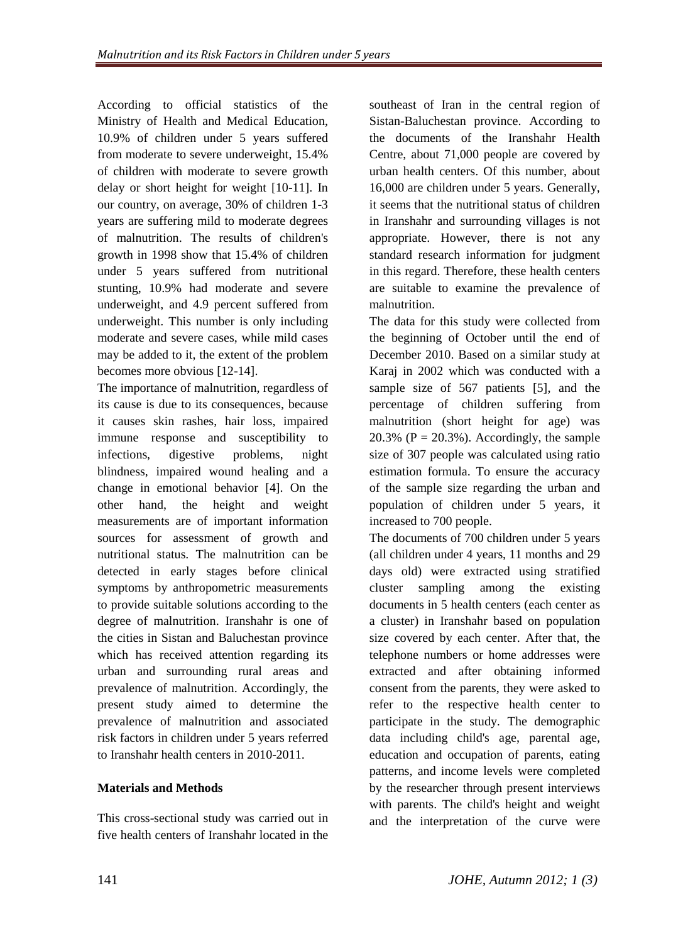According to official statistics of the Ministry of Health and Medical Education, 10.9% of children under 5 years suffered from moderate to severe underweight, 15.4% of children with moderate to severe growth delay or short height for weight [10-11]. In our country, on average, 30% of children 1-3 years are suffering mild to moderate degrees of malnutrition. The results of children's growth in 1998 show that 15.4% of children under 5 years suffered from nutritional stunting, 10.9% had moderate and severe underweight, and 4.9 percent suffered from underweight. This number is only including moderate and severe cases, while mild cases may be added to it, the extent of the problem becomes more obvious [12-14].

The importance of malnutrition, regardless of its cause is due to its consequences, because it causes skin rashes, hair loss, impaired immune response and susceptibility to infections, digestive problems, night blindness, impaired wound healing and a change in emotional behavior [4]. On the other hand, the height and weight measurements are of important information sources for assessment of growth and nutritional status. The malnutrition can be detected in early stages before clinical symptoms by anthropometric measurements to provide suitable solutions according to the degree of malnutrition. Iranshahr is one of the cities in Sistan and Baluchestan province which has received attention regarding its urban and surrounding rural areas and prevalence of malnutrition. Accordingly, the present study aimed to determine the prevalence of malnutrition and associated risk factors in children under 5 years referred to Iranshahr health centers in 2010-2011.

## **Materials and Methods**

This cross-sectional study was carried out in five health centers of Iranshahr located in the southeast of Iran in the central region of Sistan-Baluchestan province. According to the documents of the Iranshahr Health Centre, about 71,000 people are covered by urban health centers. Of this number, about 16,000 are children under 5 years. Generally, it seems that the nutritional status of children in Iranshahr and surrounding villages is not appropriate. However, there is not any standard research information for judgment in this regard. Therefore, these health centers are suitable to examine the prevalence of malnutrition.

The data for this study were collected from the beginning of October until the end of December 2010. Based on a similar study at Karaj in 2002 which was conducted with a sample size of 567 patients [5], and the percentage of children suffering from malnutrition (short height for age) was 20.3% ( $P = 20.3\%$ ). Accordingly, the sample size of 307 people was calculated using ratio estimation formula. To ensure the accuracy of the sample size regarding the urban and population of children under 5 years, it increased to 700 people.

The documents of 700 children under 5 years (all children under 4 years, 11 months and 29 days old) were extracted using stratified cluster sampling among the existing documents in 5 health centers (each center as a cluster) in Iranshahr based on population size covered by each center. After that, the telephone numbers or home addresses were extracted and after obtaining informed consent from the parents, they were asked to refer to the respective health center to participate in the study. The demographic data including child's age, parental age, education and occupation of parents, eating patterns, and income levels were completed by the researcher through present interviews with parents. The child's height and weight and the interpretation of the curve were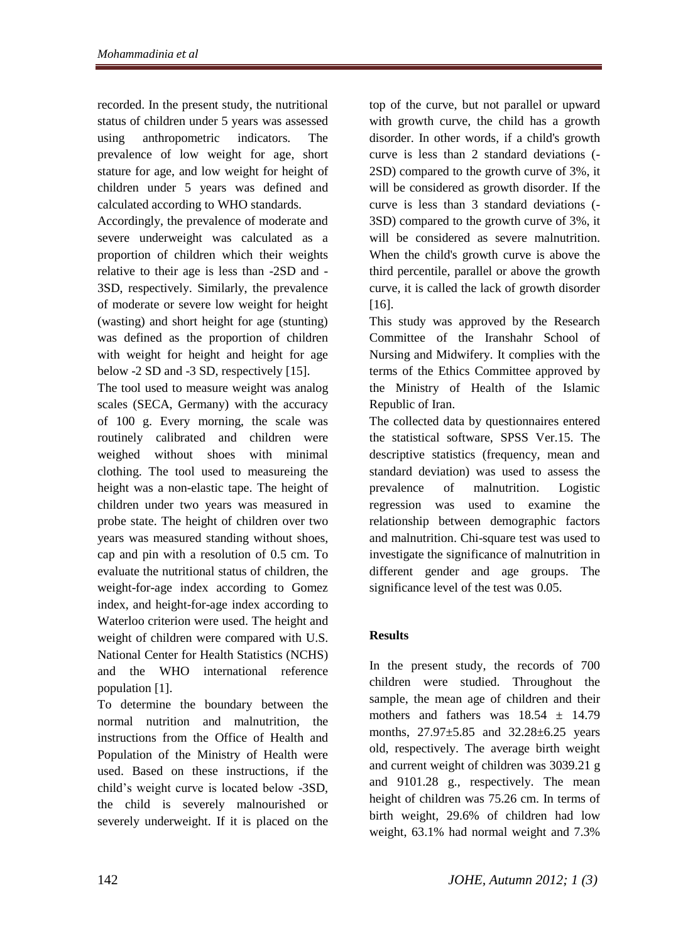recorded. In the present study, the nutritional status of children under 5 years was assessed using anthropometric indicators. The prevalence of low weight for age, short stature for age, and low weight for height of children under 5 years was defined and calculated according to WHO standards.

Accordingly, the prevalence of moderate and severe underweight was calculated as a proportion of children which their weights relative to their age is less than -2SD and - 3SD, respectively. Similarly, the prevalence of moderate or severe low weight for height (wasting) and short height for age (stunting) was defined as the proportion of children with weight for height and height for age below -2 SD and -3 SD, respectively [15].

The tool used to measure weight was analog scales (SECA, Germany) with the accuracy of 100 g. Every morning, the scale was routinely calibrated and children were weighed without shoes with minimal clothing. The tool used to measureing the height was a non-elastic tape. The height of children under two years was measured in probe state. The height of children over two years was measured standing without shoes, cap and pin with a resolution of 0.5 cm. To evaluate the nutritional status of children, the weight-for-age index according to Gomez index, and height-for-age index according to Waterloo criterion were used. The height and weight of children were compared with U.S. National Center for Health Statistics (NCHS) and the WHO international reference population [1].

To determine the boundary between the normal nutrition and malnutrition, the instructions from the Office of Health and Population of the Ministry of Health were used. Based on these instructions, if the child's weight curve is located below -3SD, the child is severely malnourished or severely underweight. If it is placed on the top of the curve, but not parallel or upward with growth curve, the child has a growth disorder. In other words, if a child's growth curve is less than 2 standard deviations (- 2SD) compared to the growth curve of 3%, it will be considered as growth disorder. If the curve is less than 3 standard deviations (- 3SD) compared to the growth curve of 3%, it will be considered as severe malnutrition. When the child's growth curve is above the third percentile, parallel or above the growth curve, it is called the lack of growth disorder [16].

This study was approved by the Research Committee of the Iranshahr School of Nursing and Midwifery. It complies with the terms of the Ethics Committee approved by the Ministry of Health of the Islamic Republic of Iran.

The collected data by questionnaires entered the statistical software, SPSS Ver.15. The descriptive statistics (frequency, mean and standard deviation) was used to assess the prevalence of malnutrition. Logistic regression was used to examine the relationship between demographic factors and malnutrition. Chi-square test was used to investigate the significance of malnutrition in different gender and age groups. The significance level of the test was 0.05.

# **Results**

In the present study, the records of 700 children were studied. Throughout the sample, the mean age of children and their mothers and fathers was 18.54 ± 14.79 months, 27.97±5.85 and 32.28±6.25 years old, respectively. The average birth weight and current weight of children was 3039.21 g and 9101.28 g., respectively. The mean height of children was 75.26 cm. In terms of birth weight, 29.6% of children had low weight, 63.1% had normal weight and 7.3%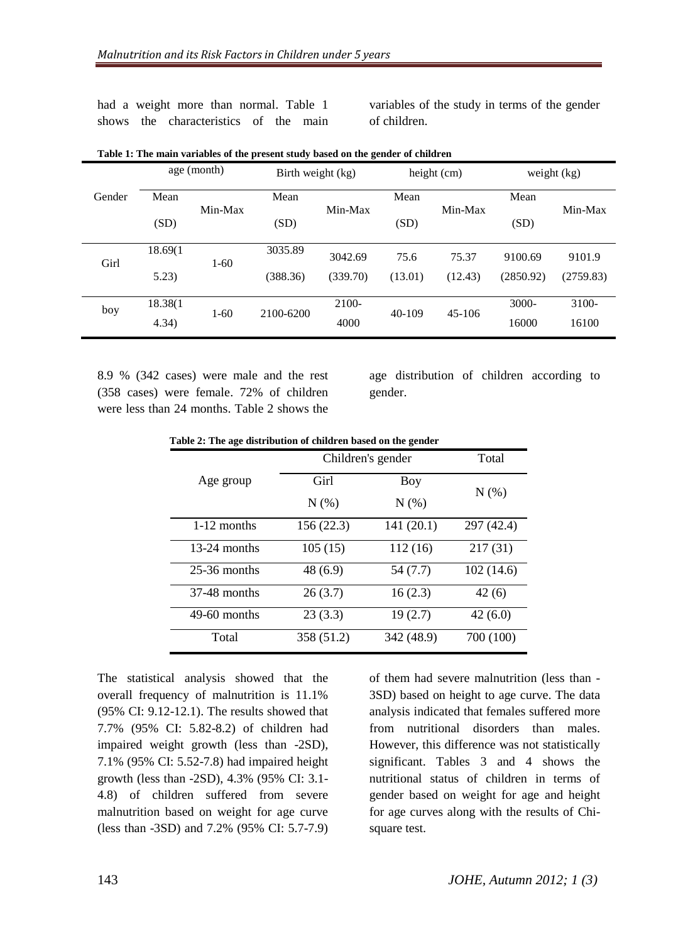had a weight more than normal. Table 1 shows the characteristics of the main variables of the study in terms of the gender of children.

|        | age (month) |          | Birth weight (kg) |          | height (cm) |          | weight $(kg)$ |           |
|--------|-------------|----------|-------------------|----------|-------------|----------|---------------|-----------|
| Gender | Mean        | Min-Max  | Mean              | Min-Max  | Mean        | Min-Max  | Mean          | Min-Max   |
|        | (SD)        |          | (SD)              |          | (SD)        |          | (SD)          |           |
| Girl   | 18.69(1     | $1-60$   | 3035.89           | 3042.69  | 75.6        | 75.37    | 9100.69       | 9101.9    |
|        | 5.23)       |          | (388.36)          | (339.70) | (13.01)     | (12.43)  | (2850.92)     | (2759.83) |
| boy    | 18.38(1     | $1 - 60$ | 2100-6200         | 2100-    | $40-109$    | $45-106$ | $3000 -$      | 3100-     |
|        | 4.34)       |          |                   | 4000     |             |          | 16000         | 16100     |

| Table 1: The main variables of the present study based on the gender of children |  |  |
|----------------------------------------------------------------------------------|--|--|
|                                                                                  |  |  |

8.9 % (342 cases) were male and the rest (358 cases) were female. 72% of children were less than 24 months. Table 2 shows the

age distribution of children according to gender.

|  |  | Table 2: The age distribution of children based on the gender |
|--|--|---------------------------------------------------------------|
|  |  |                                                               |

|                | Children's gender | Total      |            |
|----------------|-------------------|------------|------------|
| Age group      | Girl              | Boy        | N(% )      |
|                | N(% )             | N(% )      |            |
| $1-12$ months  | 156(22.3)         | 141(20.1)  | 297 (42.4) |
| $13-24$ months | 105(15)           | 112(16)    | 217(31)    |
| $25-36$ months | 48 (6.9)          | 54 (7.7)   | 102(14.6)  |
| $37-48$ months | 26(3.7)           | 16(2.3)    | 42(6)      |
| $49-60$ months | 23(3.3)           | 19(2.7)    | 42(6.0)    |
| Total          | 358 (51.2)        | 342 (48.9) | 700 (100)  |

The statistical analysis showed that the overall frequency of malnutrition is 11.1% (95% CI: 9.12-12.1). The results showed that 7.7% (95% CI: 5.82-8.2) of children had impaired weight growth (less than -2SD), 7.1% (95% CI: 5.52-7.8) had impaired height growth (less than -2SD), 4.3% (95% CI: 3.1- 4.8) of children suffered from severe malnutrition based on weight for age curve (less than -3SD) and 7.2% (95% CI: 5.7-7.9) of them had severe malnutrition (less than - 3SD) based on height to age curve. The data analysis indicated that females suffered more from nutritional disorders than males. However, this difference was not statistically significant. Tables 3 and 4 shows the nutritional status of children in terms of gender based on weight for age and height for age curves along with the results of Chisquare test.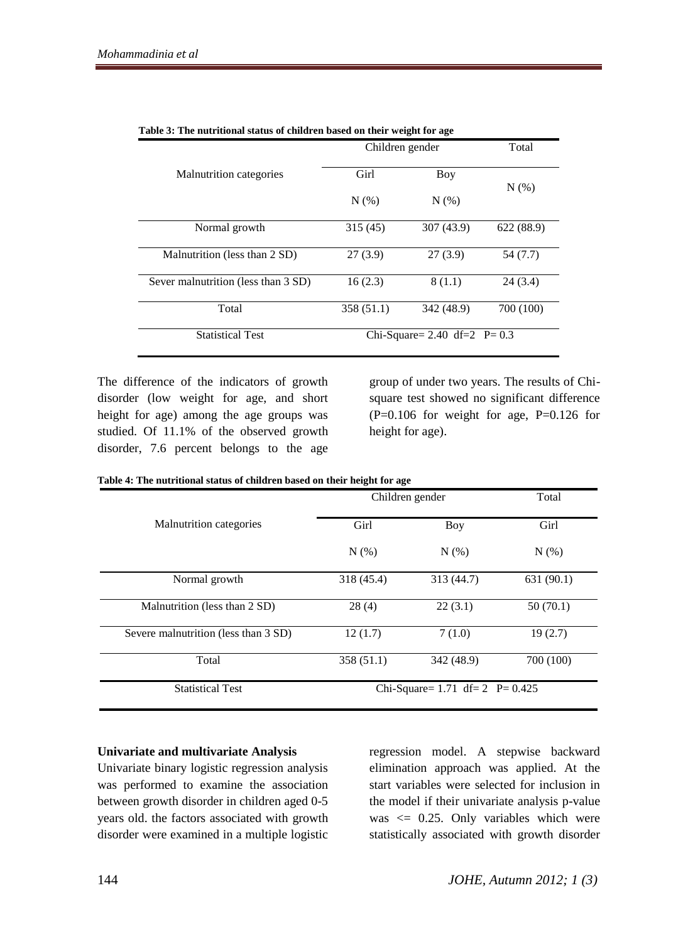|                                     | Children gender | Total                           |           |  |
|-------------------------------------|-----------------|---------------------------------|-----------|--|
| Malnutrition categories             | Girl            | Boy                             |           |  |
|                                     | $N(\%)$         | N(% )                           | $N(\%)$   |  |
| Normal growth                       | 315 (45)        | 307 (43.9)                      | 622(88.9) |  |
| Malnutrition (less than 2 SD)       | 27(3.9)         | 27(3.9)                         | 54(7.7)   |  |
| Sever malnutrition (less than 3 SD) | 16(2.3)         | 8(1.1)                          | 24(3.4)   |  |
| Total                               | 358 (51.1)      | 342 (48.9)                      | 700 (100) |  |
| <b>Statistical Test</b>             |                 | Chi-Square= 2.40 df=2 $P = 0.3$ |           |  |

| Table 3: The nutritional status of children based on their weight for age |  |
|---------------------------------------------------------------------------|--|
|---------------------------------------------------------------------------|--|

The difference of the indicators of growth disorder (low weight for age, and short height for age) among the age groups was studied. Of 11.1% of the observed growth disorder, 7.6 percent belongs to the age group of under two years. The results of Chisquare test showed no significant difference  $(P=0.106$  for weight for age, P=0.126 for height for age).

| Table 4: The nutritional status of children based on their height for age |  |  |
|---------------------------------------------------------------------------|--|--|
|---------------------------------------------------------------------------|--|--|

|                                      | Children gender | Total                                 |           |  |
|--------------------------------------|-----------------|---------------------------------------|-----------|--|
| <b>Malnutrition</b> categories       | Girl            | Boy                                   | Girl      |  |
|                                      | N(% )           | $N(\%)$                               | N(%)      |  |
| Normal growth                        | 318 (45.4)      | 313 (44.7)                            | 631(90.1) |  |
| Malnutrition (less than 2 SD)        | 28(4)           | 22(3.1)                               | 50(70.1)  |  |
| Severe malnutrition (less than 3 SD) | 12(1.7)         | 7(1.0)                                | 19(2.7)   |  |
| Total                                | 358(51.1)       | 342 (48.9)                            | 700 (100) |  |
| <b>Statistical Test</b>              |                 | Chi-Square= $1.71$ df= $2$ P= $0.425$ |           |  |

### **Univariate and multivariate Analysis**

Univariate binary logistic regression analysis was performed to examine the association between growth disorder in children aged 0-5 years old. the factors associated with growth disorder were examined in a multiple logistic regression model. A stepwise backward elimination approach was applied. At the start variables were selected for inclusion in the model if their univariate analysis p-value was  $\leq$  0.25. Only variables which were statistically associated with growth disorder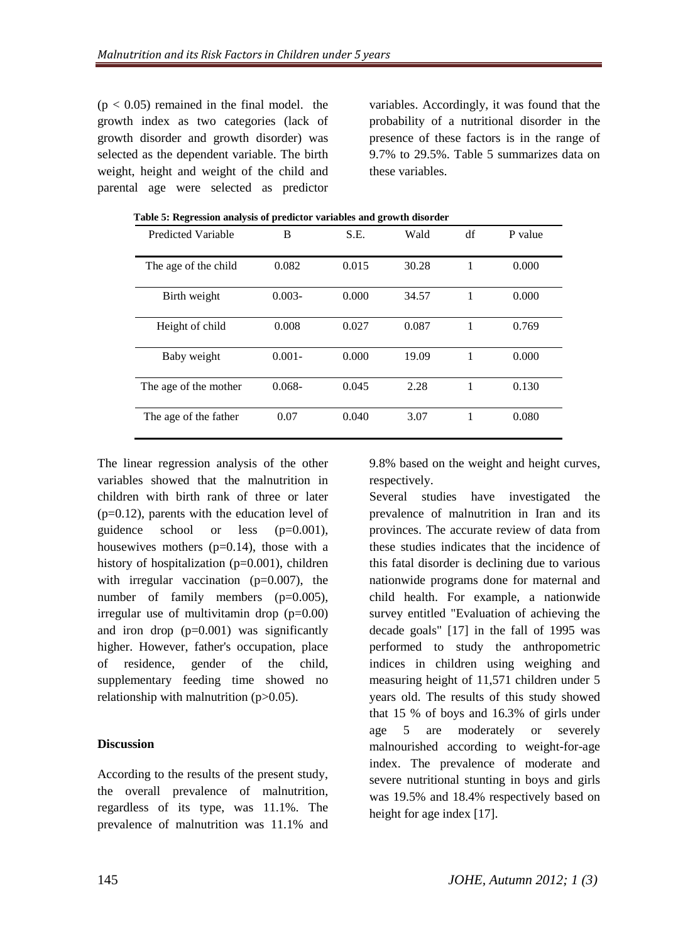$(p < 0.05)$  remained in the final model. the growth index as two categories (lack of growth disorder and growth disorder) was selected as the dependent variable. The birth weight, height and weight of the child and parental age were selected as predictor variables. Accordingly, it was found that the probability of a nutritional disorder in the presence of these factors is in the range of 9.7% to 29.5%. Table 5 summarizes data on these variables.

| <b>Predicted Variable</b> | B         | S.E.  | Wald  | df | P value |
|---------------------------|-----------|-------|-------|----|---------|
| The age of the child      | 0.082     | 0.015 | 30.28 |    | 0.000   |
| Birth weight              | $0.003 -$ | 0.000 | 34.57 |    | 0.000   |
| Height of child           | 0.008     | 0.027 | 0.087 |    | 0.769   |
| Baby weight               | $0.001 -$ | 0.000 | 19.09 | 1  | 0.000   |
| The age of the mother     | $0.068 -$ | 0.045 | 2.28  | 1  | 0.130   |
| The age of the father     | 0.07      | 0.040 | 3.07  |    | 0.080   |

**Table 5: Regression analysis of predictor variables and growth disorder**

The linear regression analysis of the other variables showed that the malnutrition in children with birth rank of three or later  $(p=0.12)$ , parents with the education level of guidence school or less (p=0.001), housewives mothers  $(p=0.14)$ , those with a history of hospitalization (p=0.001), children with irregular vaccination  $(p=0.007)$ , the number of family members (p=0.005), irregular use of multivitamin drop  $(p=0.00)$ and iron drop  $(p=0.001)$  was significantly higher. However, father's occupation, place of residence, gender of the child, supplementary feeding time showed no relationship with malnutrition  $(p>0.05)$ .

#### **Discussion**

According to the results of the present study, the overall prevalence of malnutrition, regardless of its type, was 11.1%. The prevalence of malnutrition was 11.1% and 9.8% based on the weight and height curves, respectively.

Several studies have investigated the prevalence of malnutrition in Iran and its provinces. The accurate review of data from these studies indicates that the incidence of this fatal disorder is declining due to various nationwide programs done for maternal and child health. For example, a nationwide survey entitled "Evaluation of achieving the decade goals" [17] in the fall of 1995 was performed to study the anthropometric indices in children using weighing and measuring height of 11,571 children under 5 years old. The results of this study showed that 15 % of boys and 16.3% of girls under age 5 are moderately or severely malnourished according to weight-for-age index. The prevalence of moderate and severe nutritional stunting in boys and girls was 19.5% and 18.4% respectively based on height for age index [17].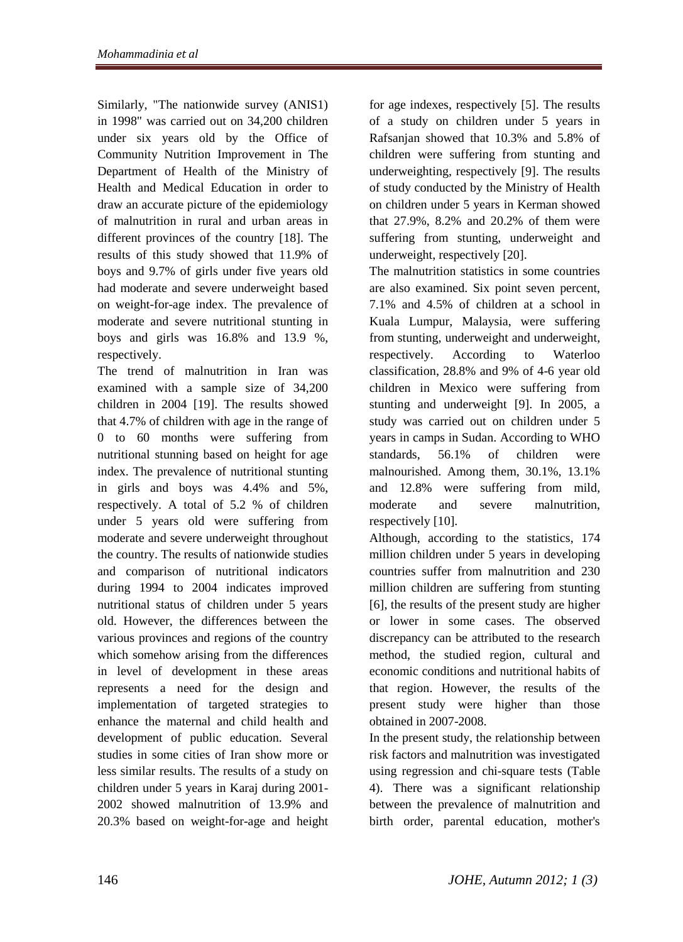Similarly, "The nationwide survey (ANIS1) in 1998" was carried out on 34,200 children under six years old by the Office of Community Nutrition Improvement in The Department of Health of the Ministry of Health and Medical Education in order to draw an accurate picture of the epidemiology of malnutrition in rural and urban areas in different provinces of the country [18]. The results of this study showed that 11.9% of boys and 9.7% of girls under five years old had moderate and severe underweight based on weight-for-age index. The prevalence of moderate and severe nutritional stunting in boys and girls was 16.8% and 13.9 %, respectively.

The trend of malnutrition in Iran was examined with a sample size of 34,200 children in 2004 [19]. The results showed that 4.7% of children with age in the range of 0 to 60 months were suffering from nutritional stunning based on height for age index. The prevalence of nutritional stunting in girls and boys was 4.4% and 5%, respectively. A total of 5.2 % of children under 5 years old were suffering from moderate and severe underweight throughout the country. The results of nationwide studies and comparison of nutritional indicators during 1994 to 2004 indicates improved nutritional status of children under 5 years old. However, the differences between the various provinces and regions of the country which somehow arising from the differences in level of development in these areas represents a need for the design and implementation of targeted strategies to enhance the maternal and child health and development of public education. Several studies in some cities of Iran show more or less similar results. The results of a study on children under 5 years in Karaj during 2001- 2002 showed malnutrition of 13.9% and 20.3% based on weight-for-age and height for age indexes, respectively [5]. The results of a study on children under 5 years in Rafsanjan showed that 10.3% and 5.8% of children were suffering from stunting and underweighting, respectively [9]. The results of study conducted by the Ministry of Health on children under 5 years in Kerman showed that 27.9%, 8.2% and 20.2% of them were suffering from stunting, underweight and underweight, respectively [20].

The malnutrition statistics in some countries are also examined. Six point seven percent, 7.1% and 4.5% of children at a school in Kuala Lumpur, Malaysia, were suffering from stunting, underweight and underweight, respectively. According to Waterloo classification, 28.8% and 9% of 4-6 year old children in Mexico were suffering from stunting and underweight [9]. In 2005, a study was carried out on children under 5 years in camps in Sudan. According to WHO standards, 56.1% of children were malnourished. Among them, 30.1%, 13.1% and 12.8% were suffering from mild, moderate and severe malnutrition, respectively [10].

Although, according to the statistics, 174 million children under 5 years in developing countries suffer from malnutrition and 230 million children are suffering from stunting [6], the results of the present study are higher or lower in some cases. The observed discrepancy can be attributed to the research method, the studied region, cultural and economic conditions and nutritional habits of that region. However, the results of the present study were higher than those obtained in 2007-2008.

In the present study, the relationship between risk factors and malnutrition was investigated using regression and chi-square tests (Table 4). There was a significant relationship between the prevalence of malnutrition and birth order, parental education, mother's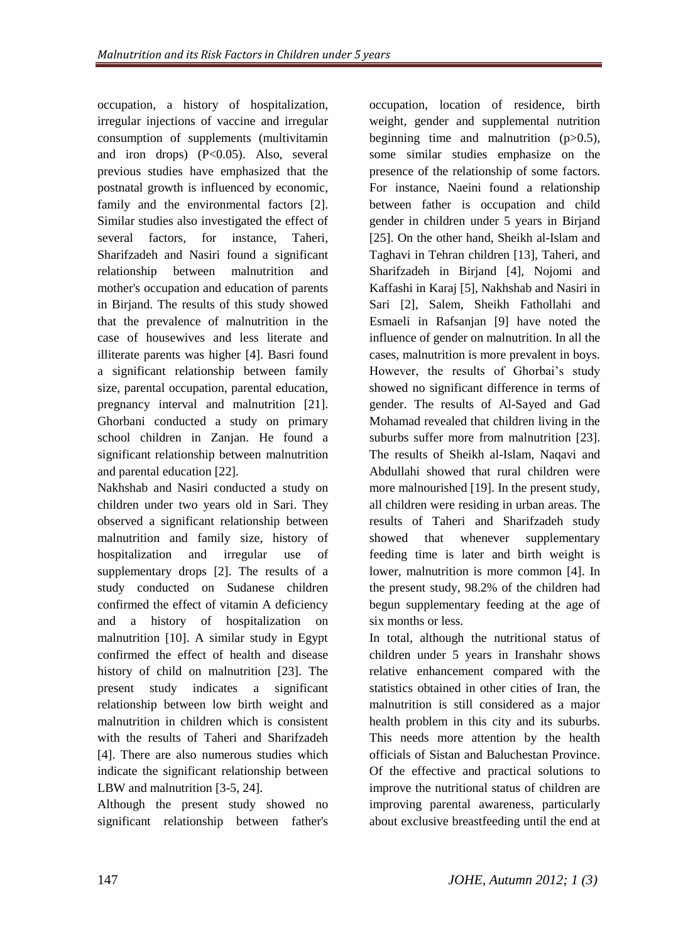occupation, a history of hospitalization, irregular injections of vaccine and irregular consumption of supplements (multivitamin and iron drops) (P<0.05). Also, several previous studies have emphasized that the postnatal growth is influenced by economic, family and the environmental factors [2]. Similar studies also investigated the effect of several factors, for instance, Taheri, Sharifzadeh and Nasiri found a significant relationship between malnutrition and mother's occupation and education of parents in Birjand. The results of this study showed that the prevalence of malnutrition in the case of housewives and less literate and illiterate parents was higher [4]. Basri found a significant relationship between family size, parental occupation, parental education, pregnancy interval and malnutrition [21]. Ghorbani conducted a study on primary school children in Zanjan. He found a significant relationship between malnutrition and parental education [22].

Nakhshab and Nasiri conducted a study on children under two years old in Sari. They observed a significant relationship between malnutrition and family size, history of hospitalization and irregular use of supplementary drops [2]. The results of a study conducted on Sudanese children confirmed the effect of vitamin A deficiency and a history of hospitalization on malnutrition [10]. A similar study in Egypt confirmed the effect of health and disease history of child on malnutrition [23]. The present study indicates a significant relationship between low birth weight and malnutrition in children which is consistent with the results of Taheri and Sharifzadeh [4]. There are also numerous studies which indicate the significant relationship between LBW and malnutrition [3-5, 24].

Although the present study showed no significant relationship between father's occupation, location of residence, birth weight, gender and supplemental nutrition beginning time and malnutrition  $(p>0.5)$ , some similar studies emphasize on the presence of the relationship of some factors. For instance, Naeini found a relationship between father is occupation and child gender in children under 5 years in Birjand [25]. On the other hand, Sheikh al-Islam and Taghavi in Tehran children [13], Taheri, and Sharifzadeh in Birjand [4], Nojomi and Kaffashi in Karaj [5], Nakhshab and Nasiri in Sari [2], Salem, Sheikh Fathollahi and Esmaeli in Rafsanjan [9] have noted the influence of gender on malnutrition. In all the cases, malnutrition is more prevalent in boys. However, the results of Ghorbai's study showed no significant difference in terms of gender. The results of Al-Sayed and Gad Mohamad revealed that children living in the suburbs suffer more from malnutrition [23]. The results of Sheikh al-Islam, Naqavi and Abdullahi showed that rural children were more malnourished [19]. In the present study, all children were residing in urban areas. The results of Taheri and Sharifzadeh study showed that whenever supplementary feeding time is later and birth weight is lower, malnutrition is more common [4]. In the present study, 98.2% of the children had begun supplementary feeding at the age of six months or less.

In total, although the nutritional status of children under 5 years in Iranshahr shows relative enhancement compared with the statistics obtained in other cities of Iran, the malnutrition is still considered as a major health problem in this city and its suburbs. This needs more attention by the health officials of Sistan and Baluchestan Province. Of the effective and practical solutions to improve the nutritional status of children are improving parental awareness, particularly about exclusive breastfeeding until the end at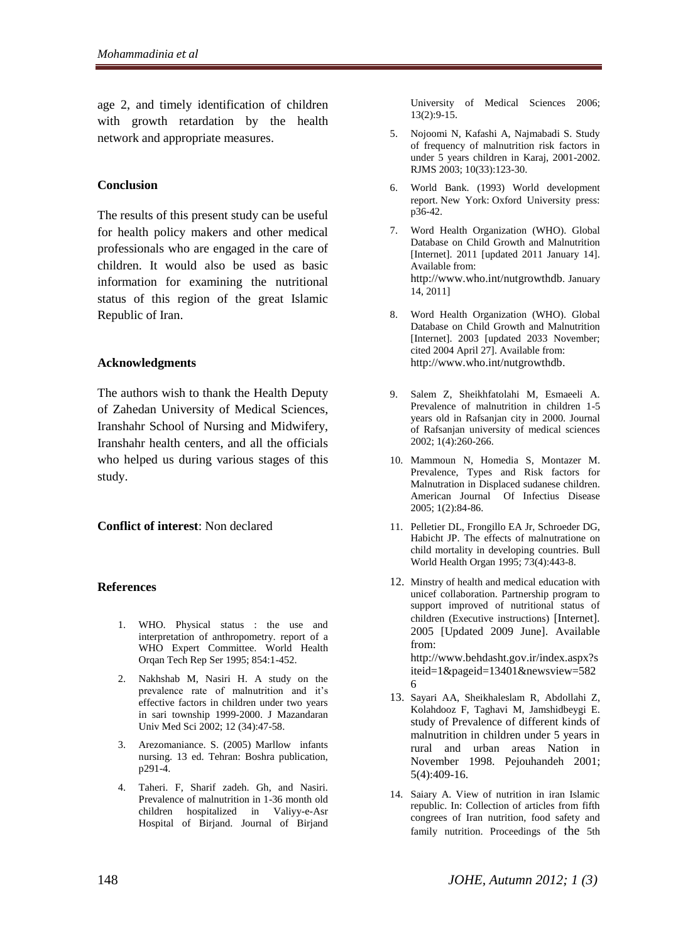age 2, and timely identification of children with growth retardation by the health network and appropriate measures.

#### **Conclusion**

The results of this present study can be useful for health policy makers and other medical professionals who are engaged in the care of children. It would also be used as basic information for examining the nutritional status of this region of the great Islamic Republic of Iran.

#### **Acknowledgments**

The authors wish to thank the Health Deputy of Zahedan University of Medical Sciences, Iranshahr School of Nursing and Midwifery, Iranshahr health centers, and all the officials who helped us during various stages of this study.

#### **Conflict of interest**: Non declared

#### **References**

- 1. WHO. Physical status : the use and interpretation of anthropometry. report of a WHO Expert Committee. World Health Orqan Tech Rep Ser 1995; 854:1-452.
- 2. Nakhshab M, Nasiri H. A study on the prevalence rate of malnutrition and it's effective factors in children under two years in sari township 1999-2000. J Mazandaran Univ Med Sci 2002; 12 (34):47-58.
- 3. Arezomaniance. S. (2005) Marllow infants nursing. 13 ed. Tehran: Boshra publication, p291-4.
- 4. Taheri. F, Sharif zadeh. Gh, and Nasiri. Prevalence of malnutrition in 1-36 month old children hospitalized in Valiyy-e-Asr Hospital of Birjand. Journal of Birjand

University of Medical Sciences 2006; 13(2):9-15.

- 5. Nojoomi N, Kafashi A, Najmabadi S. Study of frequency of malnutrition risk factors in under 5 years children in Karaj, 2001-2002. RJMS 2003; 10(33):123-30.
- 6. World Bank. (1993) World development report. New York: Oxford University press: p36-42.
- 7. Word Health Organization (WHO). Global Database on Child Growth and Malnutrition [Internet]. 2011 [updated 2011 January 14]. Available from: [http://www.who.int/nutgrowthdb](http://www.who.int/nutgrowthdb.%20January%2014). January [14,](http://www.who.int/nutgrowthdb.%20January%2014) 2011]
- 8. Word Health Organization (WHO). Global Database on Child Growth and Malnutrition [Internet]. 2003 [updated 2033 November; cited 2004 April 27]. Available from: [http://www.who.int/nutgrowthdb.](http://www.who.int/nutgrowthdb)
- 9. Salem Z, Sheikhfatolahi M, Esmaeeli A. Prevalence of malnutrition in children 1-5 years old in Rafsanjan city in 2000. Journal of Rafsanjan university of medical sciences 2002; 1(4):260-266.
- 10. Mammoun N, Homedia S, Montazer M. Prevalence, Types and Risk factors for Malnutration in Displaced sudanese children. American Journal Of Infectius Disease 2005; 1(2):84-86.
- 11. Pelletier DL, Frongillo EA Jr, Schroeder DG, Habicht JP. The effects of malnutratione on child mortality in developing countries. Bull World Health Organ 1995; 73(4):443-8.
- 12. Minstry of health and medical education with unicef collaboration. Partnership program to support improved of nutritional status of children (Executive instructions) [Internet]. 2005 [Updated 2009 June]. Available from: http://www.behdasht.gov.ir/index.aspx?s iteid=1&pageid=13401&newsview=582 6
- 13. Sayari AA, Sheikhaleslam R, Abdollahi Z, Kolahdooz F, Taghavi M, Jamshidbeygi E. study of Prevalence of different kinds of malnutrition in children under 5 years in rural and urban areas Nation in November 1998. Pejouhandeh 2001; 5(4):409-16.
- 14. Saiary A. View of nutrition in iran Islamic republic. In: Collection of articles from fifth congrees of Iran nutrition, food safety and family nutrition. Proceedings of the 5th